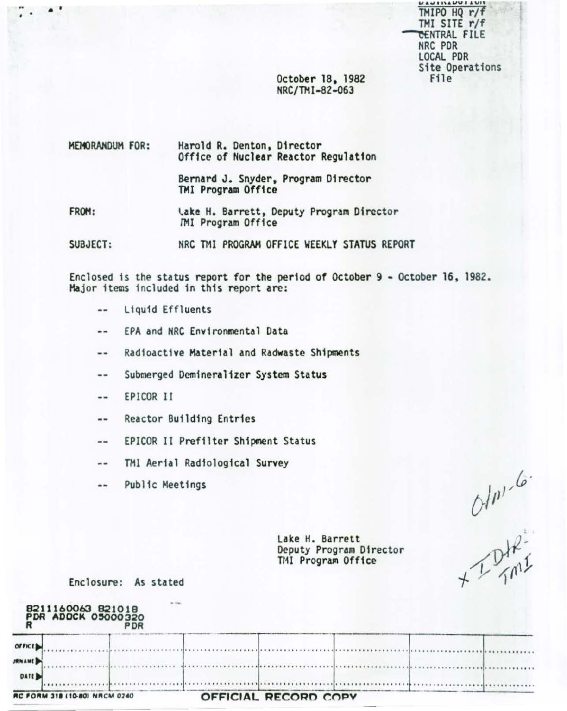TMIPO HQ r/f TMI SITE r/f **CENTRAL FILE** NRC PDR LOCAL PDR Site Operations File

October 18, 1982 NRC/TMI-82-063

**MEMORANDUM FOR:** Harold R. Denton, Director Office of Nuclear Reactor Regulation

> Bernard J. Snyder, Program Director TMI Program Office

FROM: Lake H. Barrett, Deputy Program Director *IMI* Program Office

SUBJECT: NRC TMI PROGRAM OFFICE WEEKLY STATUS REPORT

Enclosed is the status report for the period of October 9 - October 16, 1982. Major items included in this report are:

- Liquid Effluents  $\blacksquare$
- EPA and NRC Environmental Data  $- -$
- Radioactive Material and Radwaste Shipments  $-1$
- Submerged Demineralizer System Status  $\blacksquare$
- EPICOR II  $-1$

 $\bullet$ 

ŗ.

Reactor Building Entries  $\cdots$ 

EPICOR II Prefilter Shipment Status  $- -$ 

- TMI Aerial Radiological Survey  $- -$
- $\qquad \qquad \blacksquare$ Public Meetings

 $240 - 6$ 

Lake H. Barrett Deputy Program Director TMI Program Office

Enclosure: As stated

|               | 8211160063 821018<br>PDR ADDCK 05000320 |  |                      |  |  |
|---------------|-----------------------------------------|--|----------------------|--|--|
| OIFICL        |                                         |  |                      |  |  |
| <b>JRNAME</b> |                                         |  |                      |  |  |
| DATE D        |                                         |  |                      |  |  |
|               | RC FORM 318 (10-80) NRCM 0240           |  | OFFICIAL RECORD COPY |  |  |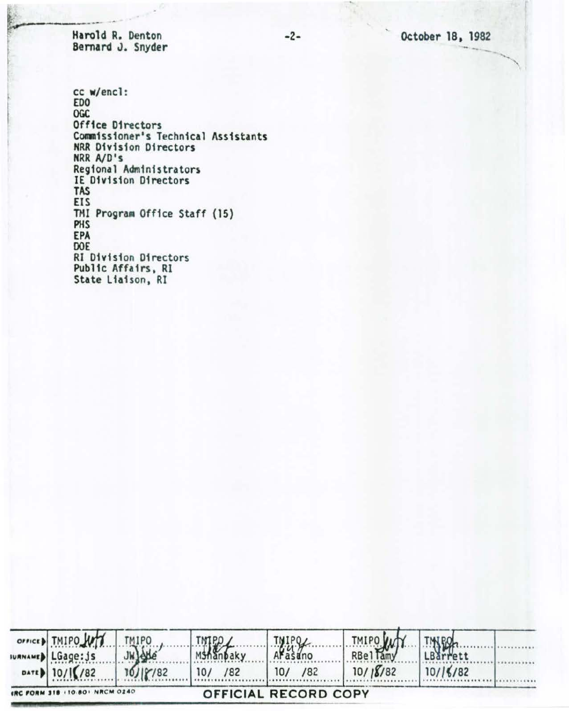October 18, 1982

Harold R. Denton Bernard J. Snyder

cc w/encl: **EDO OGC** Office Directors Commissioner's Technical Assistants **NRR Division Directors** NRR A/D's Regional Administrators IE Division Directors TAS **EIS** TMI Program Office Staff (15) PHS EPA DOE **RI Division Directors** Public Affairs, RI State Liaison, RI

| OFFICED TMIPO                  | <b>TMIPO</b>     | TMIPO,     | TNIPOL                      |          | <b>TINTPOL</b> |  |
|--------------------------------|------------------|------------|-----------------------------|----------|----------------|--|
| IURNAMED LGage: js             | <b>JWJAde</b>    | MShanbaky  | Arasano                     | TMIPO W  | LBarrett       |  |
| DATE 10/16/82                  | $10/ \gamma/82 $ | 10/<br>182 | 10/<br>182                  | 10/18/82 | 10/16/82       |  |
| IRC FORM 318 (10.80) NRCM 0240 |                  |            | <b>OFFICIAL RECORD COPY</b> |          |                |  |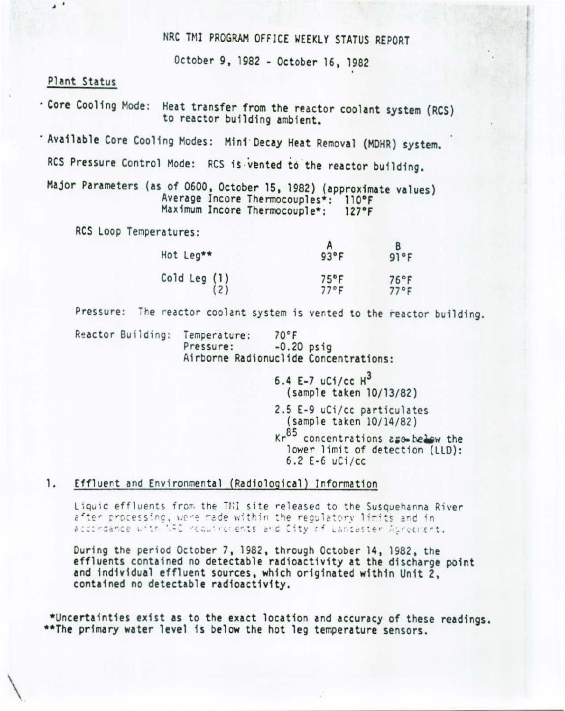# NRC TMI PROGRAM OFFICE WEEKLY STATUS REPORT

October 9, 1982 - October 16, 1982

### Plant Status

 $\cdot$ 

. Core Cooling Mode: Heat transfer from the reactor coolant system (RCS) to reactor building ambient.

- Available Core Cooling Modes: Mini Decay Heat Removal (MDHR) system.

RCS Pressure Control Mode: RCS is vented to the reactor building.

Major Parameters (as of 0600, October 15, 1982) (approximate values) Average Incore Thermocouples\*: 110°F Maximum Incore Thermocouple\*:  $127°F$ 

RCS Loop Temperatures:

| Hot Leg**                                       | $93^{\circ}F$                    | 91°F                   |
|-------------------------------------------------|----------------------------------|------------------------|
| Cold Leg $\begin{pmatrix} 1 \\ 2 \end{pmatrix}$ | $75^{\circ}$ F<br>$77^{\circ}$ F | 76°F<br>$77^{\circ}$ F |

Pressure: The reactor coolant system is vented to the reactor building.

Reactor Building: Temperature:  $70^{\circ}$ F Pressure:  $-0.20$  psig Airborne Radionuclide Concentrations:

> 6.4 E-7 uCi/cc  $H^3$ (sample taken 10/13/82) 2.5 E-9 uCi/cc particulates (sample taken 10/14/82) Kr<sup>85</sup> concentrations ase below the lower limit of detection (LLD):  $6.2 E-6$  uCi/cc

#### 1. Effluent and Environmental (Radiological) Information

Liquic effluents from the THI site released to the Susquehanna River after processing, were made within the regulatory limits and in accordance with NRC requirements and City of Lancaster Adreement.

During the period October 7, 1982, through October 14, 1982, the effluents contained no detectable radioactivity at the discharge point and individual effluent sources, which originated within Unit 2. contained no detectable radioactivity.

\*Uncertainties exist as to the exact location and accuracy of these readings. \*\*The primary water level is below the hot leg temperature sensors.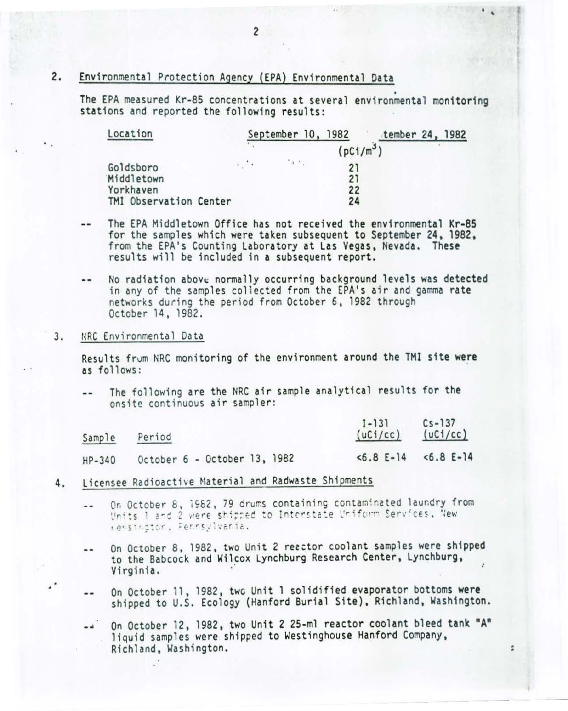#### 2. Environmental Protection Agency (EPA) Environmental Data

The EPA measured Kr-85 concentrations at several environmental monitoring stations and reported the following results:

| Location               |                         | September 10, 1982 |    | tember 24, 1982       |  |
|------------------------|-------------------------|--------------------|----|-----------------------|--|
|                        |                         |                    |    | (pC1/m <sup>3</sup> ) |  |
| Goldsboro              | $\epsilon$ , $\epsilon$ | $\rightarrow$ X.   | 21 |                       |  |
| Middletown             |                         |                    | 21 |                       |  |
| Yorkhaven              |                         |                    | 22 |                       |  |
| TMI Observation Center |                         |                    | 24 |                       |  |

- The EPA Middletown Office has not received the environmental Kr-85 for the samples which were taken subsequent to September 24, 1982, from the EPA's Counting Laboratory at Las Vegas, Nevada. These results will be included in a subsequent report.
- No radiation above normally occurring background levels was detected in any of the samples collected from the EPA's air and gamma rate networks during the period from October 6, 1982 through October 14, 1982.

#### NRC Environmental Data 3.

Results from NRC monitoring of the environment around the TMI site were as follows:

The following are the NRC air sample analytical results for the onsite continuous air sampler:

| Sample   | Period                       | $1 - 131$<br>(uCi/cc) | $Cs - 137$<br>(uC1/cc) |
|----------|------------------------------|-----------------------|------------------------|
| $HP-340$ | October 6 - October 13, 1982 | $5.8 E-14$            | $5.8 E-14$             |

- Licensee Radioactive Material and Radwaste Shipments 4.
	- On October 8, 1982, 79 drums containing contaminated laundry from  $\sim$ Units 1 and 2 were shipped to Interstate Uniform Services, New rensington, Pennsylvania.
	- On October 8, 1982, two Unit 2 reactor coolant samples were shipped -to the Babcock and Wilcox Lynchburg Research Center, Lynchburg, Virginia.
	- On October 11, 1982, two Unit 1 solidified evaporator bottoms were  $\ddotsc$ shipped to U.S. Ecology (Hanford Burial Site), Richland, Washington.
	- On October 12, 1982, two Unit 2 25-ml reactor coolant bleed tank "A"  $-4$ liquid samples were shipped to Westinghouse Hanford Company, Richland, Washington.

÷,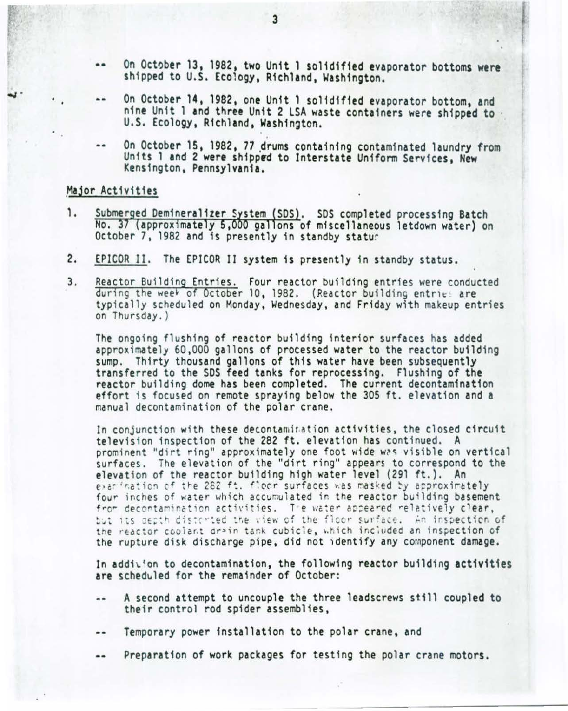- •• On October 13, 1982, two Unit 1 solidified evaporator bottoms were shipped to U.S. Ecology, Richland, Washington.
- •• On October 14, 1982, one Unit 1 solidified evaporator bottom, and ning U.S. Ecology, Richland, Washington.<br>-- On October 15, 1982, 77 drums containing contaminated laundry from
- Units 1 and 2 were shipped to Interstate Uniform Services, New Kensington, Pennsylvania.

### Major Activities

-..~·

- Submerged Demineralizer System (SDS). SDS completed processing Batch 1. No. 37 (approximately 5,000 gallons of miscellaneous letdown water) on<br>October 7, 1982 and is presently in standby statur
- 2. EPICOR II. The EPICOR II system 1s presently in standby status.
- 3. Reactor Building Entries. Four reactor building entries were conducted during the week of October 10, 1982. (Reactor building entries are typ ically scheduled on Monday, Wednesday, and Friday with makeup entries on Thursday.)

The ongoing flushing of reactor building interior surfaces has added approximately 60,000 gallons of processed water to the reactor building<br>sump. Thirty thousand gallons of this water have been subsequently transferred to the SDS feed tanks for reprocessing. Flushing of the reactor building dome has been completed. The current decontamination effort is focused on remote spraying below the 305 ft. elevation and a manual decontamination of the polar crane.

In conjunction with these decontamination activities, the closed circuit television inspection of the 282 ft. elevation has continued. A prominent "dirt ring" approximately one foot wide was visible on vertical surfaces. The elevation of the "dirt ring" appears to correspond to the elevation of the reactor building high water level (291 ft.). An<br>exactional the 282 ft. floor surfaces was masked by approximately four inches of water which accumulated in the reactor building basement from decontamination activities. The water appeared relatively clear, but its depth disterted the view of the floor surface. An inspection of the reactor coolant drain tank cubicle, which included an inspection of the rupture disk discharge pipe, did not identify any component damage.

In addition to decontamination, the following reactor building activities are schedwled for the remainder of October:

- A second attempt to uncouple the three leadscrews st111 coupled to their control rod spider assemblies,
- Temporary power installation to the polar crane, and
- Preparation of work packages for testing the polar crane motors. --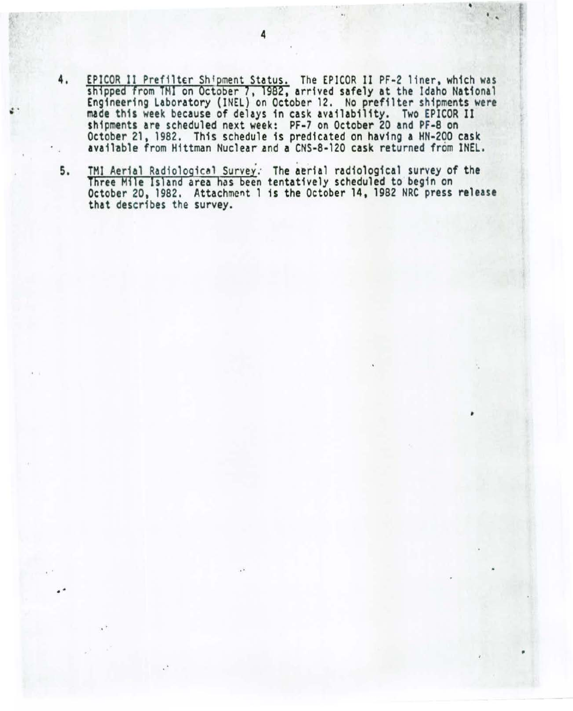- 4. EPICOR II Prefilter Shipment Status. The EPICOR II PF-2 liner, which was shipped from TMI on October 7, 1982, arrived safely at the Idaho National Engineering Laboratory (INEL) on October 12. No prefilter shipments were made this week because of delays in cask availability. Two EPICOR II shipments are scheduled next week: PF-7 on October 20 and PF-8 on October 21, 1982. This schedule is predicated on having a HN-2QO cask available from Hittman Nuclear and a CNS-8-120 cask returned from INEL.
- 5. TMI Aerial Radiological Survey. The aerial radiological survey of the Three Mile Island area has been tentatively scheduled to begin on October 20, 1982. Attachment 1 is the October 14, 1982 NRC press release that describes the survey.

' •

,

.. ~

•